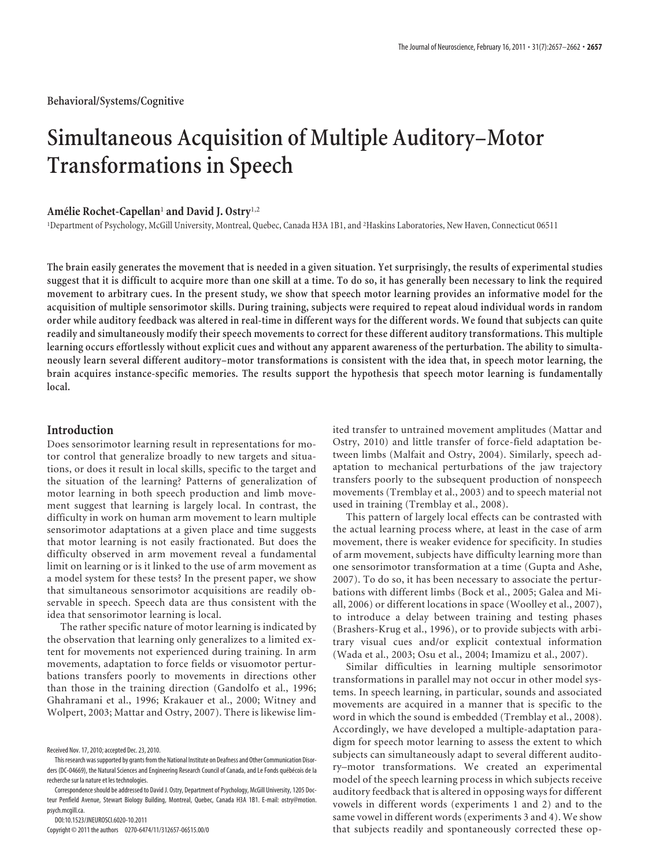# **Simultaneous Acquisition of Multiple Auditory–Motor Transformations in Speech**

## **Ame´lie Rochet-Capellan**<sup>1</sup> **and David J. Ostry**1,2

1 Department of Psychology, McGill University, Montreal, Quebec, Canada H3A 1B1, and <sup>2</sup> Haskins Laboratories, New Haven, Connecticut 06511

**The brain easily generates the movement that is needed in a given situation. Yet surprisingly, the results of experimental studies suggest that it is difficult to acquire more than one skill at a time. To do so, it has generally been necessary to link the required movement to arbitrary cues. In the present study, we show that speech motor learning provides an informative model for the acquisition of multiple sensorimotor skills. During training, subjects were required to repeat aloud individual words in random order while auditory feedback was altered in real-time in different ways for the different words. We found that subjects can quite readily and simultaneously modify their speech movements to correct for these different auditory transformations. This multiple learning occurs effortlessly without explicit cues and without any apparent awareness of the perturbation. The ability to simultaneously learn several different auditory–motor transformations is consistent with the idea that, in speech motor learning, the brain acquires instance-specific memories. The results support the hypothesis that speech motor learning is fundamentally local.**

## **Introduction**

Does sensorimotor learning result in representations for motor control that generalize broadly to new targets and situations, or does it result in local skills, specific to the target and the situation of the learning? Patterns of generalization of motor learning in both speech production and limb movement suggest that learning is largely local. In contrast, the difficulty in work on human arm movement to learn multiple sensorimotor adaptations at a given place and time suggests that motor learning is not easily fractionated. But does the difficulty observed in arm movement reveal a fundamental limit on learning or is it linked to the use of arm movement as a model system for these tests? In the present paper, we show that simultaneous sensorimotor acquisitions are readily observable in speech. Speech data are thus consistent with the idea that sensorimotor learning is local.

The rather specific nature of motor learning is indicated by the observation that learning only generalizes to a limited extent for movements not experienced during training. In arm movements, adaptation to force fields or visuomotor perturbations transfers poorly to movements in directions other than those in the training direction (Gandolfo et al., 1996; Ghahramani et al., 1996; Krakauer et al., 2000; Witney and Wolpert, 2003; Mattar and Ostry, 2007). There is likewise lim-

DOI:10.1523/JNEUROSCI.6020-10.2011

Copyright © 2011 the authors 0270-6474/11/312657-06\$15.00/0

ited transfer to untrained movement amplitudes (Mattar and Ostry, 2010) and little transfer of force-field adaptation between limbs (Malfait and Ostry, 2004). Similarly, speech adaptation to mechanical perturbations of the jaw trajectory transfers poorly to the subsequent production of nonspeech movements (Tremblay et al., 2003) and to speech material not used in training (Tremblay et al., 2008).

This pattern of largely local effects can be contrasted with the actual learning process where, at least in the case of arm movement, there is weaker evidence for specificity. In studies of arm movement, subjects have difficulty learning more than one sensorimotor transformation at a time (Gupta and Ashe, 2007). To do so, it has been necessary to associate the perturbations with different limbs (Bock et al., 2005; Galea and Miall, 2006) or different locations in space (Woolley et al., 2007), to introduce a delay between training and testing phases (Brashers-Krug et al., 1996), or to provide subjects with arbitrary visual cues and/or explicit contextual information (Wada et al., 2003; Osu et al., 2004; Imamizu et al., 2007).

Similar difficulties in learning multiple sensorimotor transformations in parallel may not occur in other model systems. In speech learning, in particular, sounds and associated movements are acquired in a manner that is specific to the word in which the sound is embedded (Tremblay et al., 2008). Accordingly, we have developed a multiple-adaptation paradigm for speech motor learning to assess the extent to which subjects can simultaneously adapt to several different auditory–motor transformations. We created an experimental model of the speech learning process in which subjects receive auditory feedback that is altered in opposing ways for different vowels in different words (experiments 1 and 2) and to the same vowel in different words (experiments 3 and 4). We show that subjects readily and spontaneously corrected these op-

Received Nov. 17, 2010; accepted Dec. 23, 2010.

This research was supported by grants from the National Institute on Deafness and Other Communication Disorders (DC-04669), the Natural Sciences and Engineering Research Council of Canada, and Le Fonds québécois de la recherche sur la nature et les technologies.

Correspondence should be addressed to David J. Ostry, Department of Psychology, McGill University, 1205 Docteur Penfield Avenue, Stewart Biology Building, Montreal, Quebec, Canada H3A 1B1. E-mail: ostry@motion. psych.mcgill.ca.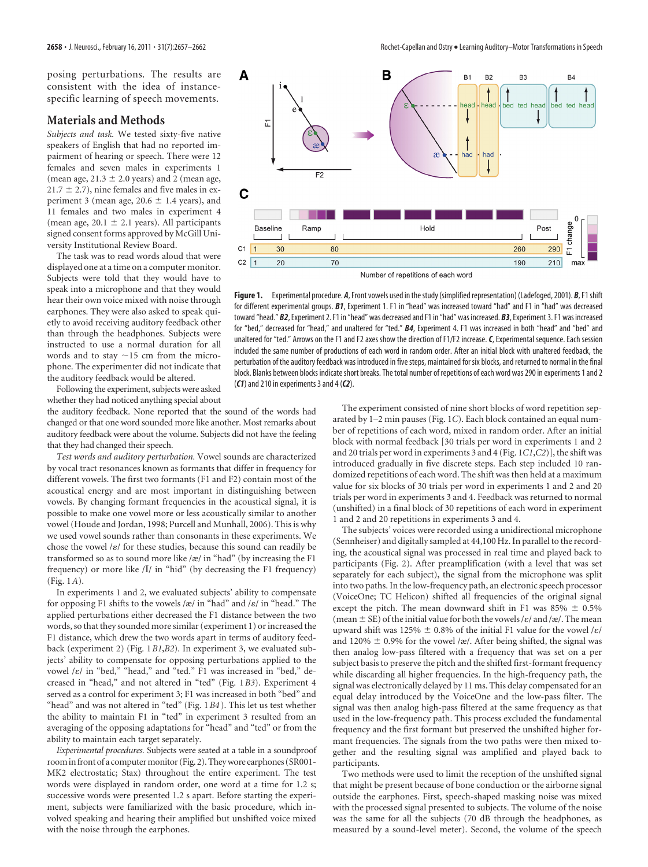posing perturbations. The results are consistent with the idea of instancespecific learning of speech movements.

#### **Materials and Methods**

*Subjects and task.* We tested sixty-five native speakers of English that had no reported impairment of hearing or speech. There were 12 females and seven males in experiments 1 (mean age,  $21.3 \pm 2.0$  years) and 2 (mean age,  $21.7 \pm 2.7$ ), nine females and five males in experiment 3 (mean age,  $20.6 \pm 1.4$  years), and 11 females and two males in experiment 4 (mean age,  $20.1 \pm 2.1$  years). All participants signed consent forms approved by McGill University Institutional Review Board.

The task was to read words aloud that were displayed one at a time on a computer monitor. Subjects were told that they would have to speak into a microphone and that they would hear their own voice mixed with noise through earphones. They were also asked to speak quietly to avoid receiving auditory feedback other than through the headphones. Subjects were instructed to use a normal duration for all words and to stay  $\sim$ 15 cm from the microphone. The experimenter did not indicate that the auditory feedback would be altered.

Following the experiment, subjects were asked whether they had noticed anything special about

the auditory feedback. None reported that the sound of the words had changed or that one word sounded more like another. Most remarks about auditory feedback were about the volume. Subjects did not have the feeling that they had changed their speech.

*Test words and auditory perturbation.* Vowel sounds are characterized by vocal tract resonances known as formants that differ in frequency for different vowels. The first two formants (F1 and F2) contain most of the acoustical energy and are most important in distinguishing between vowels. By changing formant frequencies in the acoustical signal, it is possible to make one vowel more or less acoustically similar to another vowel (Houde and Jordan, 1998; Purcell and Munhall, 2006). This is why we used vowel sounds rather than consonants in these experiments. We chose the vowel / $\varepsilon$ / for these studies, because this sound can readily be transformed so as to sound more like /æ/ in "had" (by increasing the F1 frequency) or more like /I/ in "hid" (by decreasing the F1 frequency) (Fig. 1*A*).

In experiments 1 and 2, we evaluated subjects' ability to compensate for opposing F1 shifts to the vowels /æ/ in "had" and / $\varepsilon$ / in "head." The applied perturbations either decreased the F1 distance between the two words, so that they sounded more similar (experiment 1) or increased the F1 distance, which drew the two words apart in terms of auditory feedback (experiment 2) (Fig. 1*B1*,*B2*). In experiment 3, we evaluated subjects' ability to compensate for opposing perturbations applied to the vowel / $\varepsilon$ / in "bed," "head," and "ted." F1 was increased in "bed," decreased in "head," and not altered in "ted" (Fig. 1*B3*). Experiment 4 served as a control for experiment 3; F1 was increased in both "bed" and "head" and was not altered in "ted" (Fig. 1*B4* ). This let us test whether the ability to maintain F1 in "ted" in experiment 3 resulted from an averaging of the opposing adaptations for "head" and "ted" or from the ability to maintain each target separately.

*Experimental procedures.* Subjects were seated at a table in a soundproof room in front of a computer monitor (Fig. 2). They wore earphones (SR001-MK2 electrostatic; Stax) throughout the entire experiment. The test words were displayed in random order, one word at a time for 1.2 s; successive words were presented 1.2 s apart. Before starting the experiment, subjects were familiarized with the basic procedure, which involved speaking and hearing their amplified but unshifted voice mixed with the noise through the earphones.



**Figure 1.** Experimental procedure. *A*, Front vowels used in thestudy (simplified representation) (Ladefoged, 2001). *B*, F1shift for different experimental groups. *B1*, Experiment 1. F1 in "head" was increased toward "had" and F1 in "had" was decreased toward "head." *B2*, Experiment 2. F1 in "head" was decreased and F1 in "had" was increased. *B3*, Experiment 3. F1 was increased for "bed," decreased for "head," and unaltered for "ted." *B4*, Experiment 4. F1 was increased in both "head" and "bed" and unaltered for "ted." Arrows on the F1 and F2 axes show the direction of F1/F2 increase.*C*, Experimental sequence. Each session included the same number of productions of each word in random order. After an initial block with unaltered feedback, the perturbation of the auditory feedback was introduced in five steps, maintained for six blocks, and returned to normal in the final block. Blanks between blocks indicate short breaks. The total number of repetitions of each word was 290 in experiments 1 and 2 (*C1*) and 210 in experiments 3 and 4 (*C2*).

The experiment consisted of nine short blocks of word repetition separated by 1–2 min pauses (Fig. 1*C*). Each block contained an equal number of repetitions of each word, mixed in random order. After an initial block with normal feedback [30 trials per word in experiments 1 and 2 and 20 trials per word in experiments 3 and 4 (Fig. 1*C1*,*C2*)], the shift was introduced gradually in five discrete steps. Each step included 10 randomized repetitions of each word. The shift was then held at a maximum value for six blocks of 30 trials per word in experiments 1 and 2 and 20 trials per word in experiments 3 and 4. Feedback was returned to normal (unshifted) in a final block of 30 repetitions of each word in experiment 1 and 2 and 20 repetitions in experiments 3 and 4.

The subjects' voices were recorded using a unidirectional microphone (Sennheiser) and digitally sampled at 44,100 Hz. In parallel to the recording, the acoustical signal was processed in real time and played back to participants (Fig. 2). After preamplification (with a level that was set separately for each subject), the signal from the microphone was split into two paths. In the low-frequency path, an electronic speech processor (VoiceOne; TC Helicon) shifted all frequencies of the original signal except the pitch. The mean downward shift in F1 was  $85\% \pm 0.5\%$ (mean  $\pm$  SE) of the initial value for both the vowels / $\varepsilon$ / and /æ/. The mean upward shift was 125%  $\pm$  0.8% of the initial F1 value for the vowel / $\varepsilon$ / and 120%  $\pm$  0.9% for the vowel /æ/. After being shifted, the signal was then analog low-pass filtered with a frequency that was set on a per subject basis to preserve the pitch and the shifted first-formant frequency while discarding all higher frequencies. In the high-frequency path, the signal was electronically delayed by 11 ms. This delay compensated for an equal delay introduced by the VoiceOne and the low-pass filter. The signal was then analog high-pass filtered at the same frequency as that used in the low-frequency path. This process excluded the fundamental frequency and the first formant but preserved the unshifted higher formant frequencies. The signals from the two paths were then mixed together and the resulting signal was amplified and played back to participants.

Two methods were used to limit the reception of the unshifted signal that might be present because of bone conduction or the airborne signal outside the earphones. First, speech-shaped masking noise was mixed with the processed signal presented to subjects. The volume of the noise was the same for all the subjects (70 dB through the headphones, as measured by a sound-level meter). Second, the volume of the speech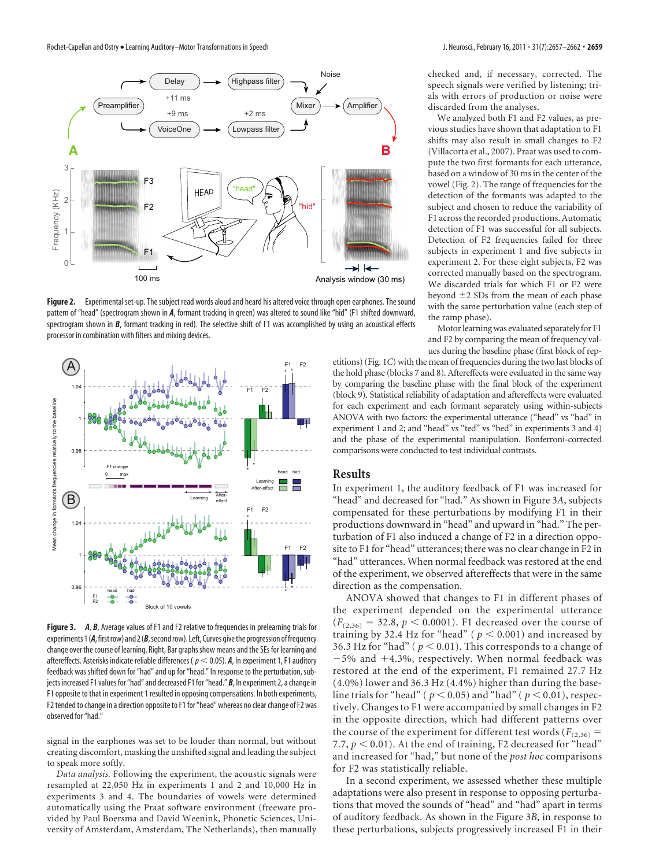

**Figure 2.** Experimental set-up. The subject read words aloud and heard his altered voice through open earphones. The sound pattern of "head" (spectrogram shown in *A*, formant tracking in green) was altered to sound like "hid" (F1 shifted downward, spectrogram shown in *B*, formant tracking in red). The selective shift of F1 was accomplished by using an acoustical effects processor in combination with filters and mixing devices.



**Figure 3.** *A, B,* Average values of F1 and F2 relative to frequencies in prelearning trials for experiments 1 (A, first row) and 2 (B, second row). Left, Curves give the progression of frequency change over the course of learning. Right, Bar graphsshow means and the SEs for learning and aftereffects. Asterisks indicate reliable differences ( $p < 0.05$ ). **A**, In experiment 1, F1 auditory feedback was shifted down for "had" and up for "head." In response to the perturbation, subjects increased F1 values for "had" and decreased F1 for "head." *B*, In experiment 2, a change in F1 opposite to that in experiment 1 resulted in opposing compensations. In both experiments, F2 tended to change in a direction opposite to F1 for "head" whereas no clear change of F2 was observed for "had."

signal in the earphones was set to be louder than normal, but without creating discomfort, masking the unshifted signal and leading the subject to speak more softly.

*Data analysis.* Following the experiment, the acoustic signals were resampled at 22,050 Hz in experiments 1 and 2 and 10,000 Hz in experiments 3 and 4. The boundaries of vowels were determined automatically using the Praat software environment (freeware provided by Paul Boersma and David Weenink, Phonetic Sciences, University of Amsterdam, Amsterdam, The Netherlands), then manually checked and, if necessary, corrected. The speech signals were verified by listening; trials with errors of production or noise were discarded from the analyses.

We analyzed both F1 and F2 values, as previous studies have shown that adaptation to F1 shifts may also result in small changes to F2 (Villacorta et al., 2007). Praat was used to compute the two first formants for each utterance, based on a window of 30 ms in the center of the vowel (Fig. 2). The range of frequencies for the detection of the formants was adapted to the subject and chosen to reduce the variability of F1 across the recorded productions. Automatic detection of F1 was successful for all subjects. Detection of F2 frequencies failed for three subjects in experiment 1 and five subjects in experiment 2. For these eight subjects, F2 was corrected manually based on the spectrogram. We discarded trials for which F1 or F2 were beyond  $\pm 2$  SDs from the mean of each phase with the same perturbation value (each step of the ramp phase).

Motor learning was evaluated separately for F1 and F2 by comparing the mean of frequency values during the baseline phase (first block of rep-

etitions) (Fig. 1*C*) with the mean of frequencies during the two last blocks of the hold phase (blocks 7 and 8). Aftereffects were evaluated in the same way by comparing the baseline phase with the final block of the experiment (block 9). Statistical reliability of adaptation and aftereffects were evaluated for each experiment and each formant separately using within-subjects ANOVA with two factors: the experimental utterance ("head" vs "had" in experiment 1 and 2; and "head" vs "ted" vs "bed" in experiments 3 and 4) and the phase of the experimental manipulation. Bonferroni-corrected comparisons were conducted to test individual contrasts.

## **Results**

In experiment 1, the auditory feedback of F1 was increased for "head" and decreased for "had." As shown in Figure 3*A*, subjects compensated for these perturbations by modifying F1 in their productions downward in "head" and upward in "had." The perturbation of F1 also induced a change of F2 in a direction opposite to F1 for "head" utterances; there was no clear change in F2 in "had" utterances. When normal feedback was restored at the end of the experiment, we observed aftereffects that were in the same direction as the compensation.

ANOVA showed that changes to F1 in different phases of the experiment depended on the experimental utterance  $(F_{(2,36)} = 32.8, p < 0.0001)$ . F1 decreased over the course of training by 32.4 Hz for "head" ( $p < 0.001$ ) and increased by 36.3 Hz for "had" ( $p < 0.01$ ). This corresponds to a change of  $-5%$  and  $+4.3%$ , respectively. When normal feedback was restored at the end of the experiment, F1 remained 27.7 Hz (4.0%) lower and 36.3 Hz (4.4%) higher than during the baseline trials for "head" ( $p < 0.05$ ) and "had" ( $p < 0.01$ ), respectively. Changes to F1 were accompanied by small changes in F2 in the opposite direction, which had different patterns over the course of the experiment for different test words ( $F_{(2,36)}$  = 7.7,  $p < 0.01$ ). At the end of training, F2 decreased for "head" and increased for "had," but none of the *post hoc* comparisons for F2 was statistically reliable.

In a second experiment, we assessed whether these multiple adaptations were also present in response to opposing perturbations that moved the sounds of "head" and "had" apart in terms of auditory feedback. As shown in the Figure 3*B*, in response to these perturbations, subjects progressively increased F1 in their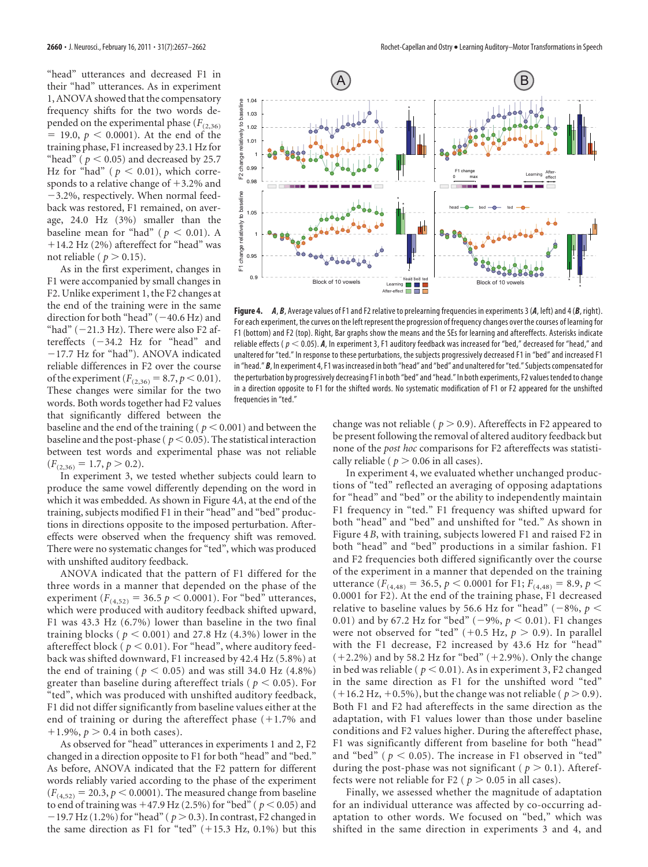"head" utterances and decreased F1 in their "had" utterances. As in experiment 1, ANOVA showed that the compensatory frequency shifts for the two words depended on the experimental phase  $(F_{(2,36)})$  $= 19.0, p < 0.0001$ ). At the end of the training phase, F1 increased by 23.1 Hz for "head" ( $p < 0.05$ ) and decreased by 25.7 Hz for "had" ( $p < 0.01$ ), which corresponds to a relative change of  $+3.2\%$  and 3.2%, respectively. When normal feedback was restored, F1 remained, on average, 24.0 Hz (3%) smaller than the baseline mean for "had" ( $p < 0.01$ ). A 14.2 Hz (2%) aftereffect for "head" was not reliable ( $p > 0.15$ ).

As in the first experiment, changes in F1 were accompanied by small changes in F2. Unlike experiment 1, the F2 changes at the end of the training were in the same direction for both "head"  $(-40.6 \text{ Hz})$  and "had"  $(-21.3 \text{ Hz})$ . There were also F2 aftereffects  $(-34.2$  Hz for "head" and 17.7 Hz for "had"). ANOVA indicated reliable differences in F2 over the course of the experiment ( $F_{(2,36)} = 8.7, p \le 0.01$ ). These changes were similar for the two words. Both words together had F2 values that significantly differed between the



**Figure 4.** *A*, *B*, Average values of F1 and F2 relative to prelearning frequencies in experiments 3 (*A*, left) and 4 (*B*, right). For each experiment, the curves on the left represent the progression of frequency changes over the courses of learning for F1 (bottom) and F2 (top). Right, Bar graphs show the means and the SEs for learning and aftereffects. Asterisks indicate reliable effects ( $p < 0.05$ ). *A*, In experiment 3, F1 auditory feedback was increased for "bed," decreased for "head," and unaltered for "ted." In response to these perturbations, the subjects progressively decreased F1 in "bed" and increased F1 in "head." *B*, In experiment 4, F1 was increased in both "head" and "bed" and unaltered for "ted." Subjects compensated for the perturbation by progressively decreasing F1 in both "bed" and "head." In both experiments, F2 values tended to change in a direction opposite to F1 for the shifted words. No systematic modification of F1 or F2 appeared for the unshifted frequencies in "ted."

baseline and the end of the training ( $p < 0.001$ ) and between the baseline and the post-phase ( $p < 0.05$ ). The statistical interaction between test words and experimental phase was not reliable  $(F_{(2,36)} = 1.7, p > 0.2).$ 

In experiment 3, we tested whether subjects could learn to produce the same vowel differently depending on the word in which it was embedded. As shown in Figure 4*A*, at the end of the training, subjects modified F1 in their "head" and "bed" productions in directions opposite to the imposed perturbation. Aftereffects were observed when the frequency shift was removed. There were no systematic changes for "ted", which was produced with unshifted auditory feedback.

ANOVA indicated that the pattern of F1 differed for the three words in a manner that depended on the phase of the experiment ( $F_{(4,52)} = 36.5 p \le 0.0001$ ). For "bed" utterances, which were produced with auditory feedback shifted upward, F1 was 43.3 Hz (6.7%) lower than baseline in the two final training blocks ( $p < 0.001$ ) and 27.8 Hz (4.3%) lower in the aftereffect block ( $p < 0.01$ ). For "head", where auditory feedback was shifted downward, F1 increased by 42.4 Hz (5.8%) at the end of training ( $p < 0.05$ ) and was still 34.0 Hz (4.8%) greater than baseline during aftereffect trials ( $p < 0.05$ ). For "ted", which was produced with unshifted auditory feedback, F1 did not differ significantly from baseline values either at the end of training or during the aftereffect phase  $(+1.7\%$  and  $+1.9\%, p > 0.4$  in both cases).

As observed for "head" utterances in experiments 1 and 2, F2 changed in a direction opposite to F1 for both "head" and "bed." As before, ANOVA indicated that the F2 pattern for different words reliably varied according to the phase of the experiment  $(F_{(4,52)} = 20.3, p < 0.0001)$ . The measured change from baseline to end of training was  $+47.9$  Hz (2.5%) for "bed" ( $p < 0.05$ ) and  $-19.7$  Hz (1.2%) for "head" ( $p > 0.3$ ). In contrast, F2 changed in the same direction as F1 for "ted"  $(+15.3 \text{ Hz}, 0.1\%)$  but this change was not reliable ( $p > 0.9$ ). Aftereffects in F2 appeared to be present following the removal of altered auditory feedback but none of the *post hoc* comparisons for F2 aftereffects was statistically reliable ( $p > 0.06$  in all cases).

In experiment 4, we evaluated whether unchanged productions of "ted" reflected an averaging of opposing adaptations for "head" and "bed" or the ability to independently maintain F1 frequency in "ted." F1 frequency was shifted upward for both "head" and "bed" and unshifted for "ted." As shown in Figure 4*B*, with training, subjects lowered F1 and raised F2 in both "head" and "bed" productions in a similar fashion. F1 and F2 frequencies both differed significantly over the course of the experiment in a manner that depended on the training utterance ( $F_{(4,48)} = 36.5$ ,  $p < 0.0001$  for F1;  $F_{(4,48)} = 8.9$ ,  $p <$ 0.0001 for F2). At the end of the training phase, F1 decreased relative to baseline values by 56.6 Hz for "head" ( $-8\%$ ,  $p <$ 0.01) and by 67.2 Hz for "bed" ( $-9\%$ ,  $p < 0.01$ ). F1 changes were not observed for "ted"  $(+0.5 \text{ Hz}, p > 0.9)$ . In parallel with the F1 decrease, F2 increased by 43.6 Hz for "head"  $(+2.2%)$  and by 58.2 Hz for "bed"  $(+2.9%)$ . Only the change in bed was reliable ( $p < 0.01$ ). As in experiment 3, F2 changed in the same direction as F1 for the unshifted word "ted"  $(+16.2 \text{ Hz}, +0.5\%)$ , but the change was not reliable ( $p > 0.9$ ). Both F1 and F2 had aftereffects in the same direction as the adaptation, with F1 values lower than those under baseline conditions and F2 values higher. During the aftereffect phase, F1 was significantly different from baseline for both "head" and "bed" ( $p < 0.05$ ). The increase in F1 observed in "ted" during the post-phase was not significant ( $p > 0.1$ ). Aftereffects were not reliable for F2 ( $p > 0.05$  in all cases).

Finally, we assessed whether the magnitude of adaptation for an individual utterance was affected by co-occurring adaptation to other words. We focused on "bed," which was shifted in the same direction in experiments 3 and 4, and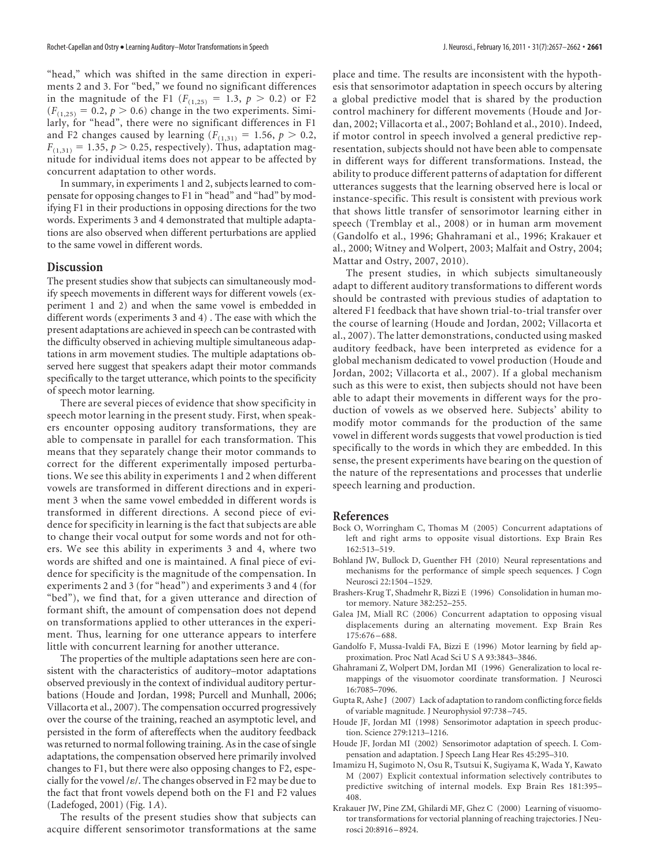"head," which was shifted in the same direction in experiments 2 and 3. For "bed," we found no significant differences in the magnitude of the F1 ( $F_{(1,25)} = 1.3$ ,  $p > 0.2$ ) or F2  $(F<sub>(1,25)</sub> = 0.2, p > 0.6)$  change in the two experiments. Similarly, for "head", there were no significant differences in F1 and F2 changes caused by learning  $(F_{(1,31)} = 1.56, p > 0.2,$  $F_{(1,31)} = 1.35$ ,  $p > 0.25$ , respectively). Thus, adaptation magnitude for individual items does not appear to be affected by concurrent adaptation to other words.

In summary, in experiments 1 and 2, subjects learned to compensate for opposing changes to F1 in "head" and "had" by modifying F1 in their productions in opposing directions for the two words. Experiments 3 and 4 demonstrated that multiple adaptations are also observed when different perturbations are applied to the same vowel in different words.

### **Discussion**

The present studies show that subjects can simultaneously modify speech movements in different ways for different vowels (experiment 1 and 2) and when the same vowel is embedded in different words (experiments 3 and 4) . The ease with which the present adaptations are achieved in speech can be contrasted with the difficulty observed in achieving multiple simultaneous adaptations in arm movement studies. The multiple adaptations observed here suggest that speakers adapt their motor commands specifically to the target utterance, which points to the specificity of speech motor learning.

There are several pieces of evidence that show specificity in speech motor learning in the present study. First, when speakers encounter opposing auditory transformations, they are able to compensate in parallel for each transformation. This means that they separately change their motor commands to correct for the different experimentally imposed perturbations. We see this ability in experiments 1 and 2 when different vowels are transformed in different directions and in experiment 3 when the same vowel embedded in different words is transformed in different directions. A second piece of evidence for specificity in learning is the fact that subjects are able to change their vocal output for some words and not for others. We see this ability in experiments 3 and 4, where two words are shifted and one is maintained. A final piece of evidence for specificity is the magnitude of the compensation. In experiments 2 and 3 (for "head") and experiments 3 and 4 (for "bed"), we find that, for a given utterance and direction of formant shift, the amount of compensation does not depend on transformations applied to other utterances in the experiment. Thus, learning for one utterance appears to interfere little with concurrent learning for another utterance.

The properties of the multiple adaptations seen here are consistent with the characteristics of auditory–motor adaptations observed previously in the context of individual auditory perturbations (Houde and Jordan, 1998; Purcell and Munhall, 2006; Villacorta et al., 2007). The compensation occurred progressively over the course of the training, reached an asymptotic level, and persisted in the form of aftereffects when the auditory feedback was returned to normal following training. As in the case of single adaptations, the compensation observed here primarily involved changes to F1, but there were also opposing changes to F2, especially for the vowel / $\varepsilon$ /. The changes observed in F2 may be due to the fact that front vowels depend both on the F1 and F2 values (Ladefoged, 2001) (Fig. 1*A*).

The results of the present studies show that subjects can acquire different sensorimotor transformations at the same place and time. The results are inconsistent with the hypothesis that sensorimotor adaptation in speech occurs by altering a global predictive model that is shared by the production control machinery for different movements (Houde and Jordan, 2002; Villacorta et al., 2007; Bohland et al., 2010). Indeed, if motor control in speech involved a general predictive representation, subjects should not have been able to compensate in different ways for different transformations. Instead, the ability to produce different patterns of adaptation for different utterances suggests that the learning observed here is local or

instance-specific. This result is consistent with previous work that shows little transfer of sensorimotor learning either in speech (Tremblay et al., 2008) or in human arm movement (Gandolfo et al., 1996; Ghahramani et al., 1996; Krakauer et al., 2000; Witney and Wolpert, 2003; Malfait and Ostry, 2004; Mattar and Ostry, 2007, 2010).

The present studies, in which subjects simultaneously adapt to different auditory transformations to different words should be contrasted with previous studies of adaptation to altered F1 feedback that have shown trial-to-trial transfer over the course of learning (Houde and Jordan, 2002; Villacorta et al., 2007). The latter demonstrations, conducted using masked auditory feedback, have been interpreted as evidence for a global mechanism dedicated to vowel production (Houde and Jordan, 2002; Villacorta et al., 2007). If a global mechanism such as this were to exist, then subjects should not have been able to adapt their movements in different ways for the production of vowels as we observed here. Subjects' ability to modify motor commands for the production of the same vowel in different words suggests that vowel production is tied specifically to the words in which they are embedded. In this sense, the present experiments have bearing on the question of the nature of the representations and processes that underlie speech learning and production.

#### **References**

- Bock O, Worringham C, Thomas M (2005) Concurrent adaptations of left and right arms to opposite visual distortions. Exp Brain Res 162:513–519.
- Bohland JW, Bullock D, Guenther FH (2010) Neural representations and mechanisms for the performance of simple speech sequences. J Cogn Neurosci 22:1504 –1529.
- Brashers-Krug T, Shadmehr R, Bizzi E (1996) Consolidation in human motor memory. Nature 382:252–255.
- Galea JM, Miall RC (2006) Concurrent adaptation to opposing visual displacements during an alternating movement. Exp Brain Res 175:676 –688.
- Gandolfo F, Mussa-Ivaldi FA, Bizzi E (1996) Motor learning by field approximation. Proc Natl Acad Sci U S A 93:3843–3846.
- Ghahramani Z, Wolpert DM, Jordan MI (1996) Generalization to local remappings of the visuomotor coordinate transformation. J Neurosci 16:7085–7096.
- Gupta R, Ashe J (2007) Lack of adaptation to random conflicting force fields of variable magnitude. J Neurophysiol 97:738 –745.
- Houde JF, Jordan MI (1998) Sensorimotor adaptation in speech production. Science 279:1213–1216.
- Houde JF, Jordan MI (2002) Sensorimotor adaptation of speech. I. Compensation and adaptation. J Speech Lang Hear Res 45:295–310.
- Imamizu H, Sugimoto N, Osu R, Tsutsui K, Sugiyama K, Wada Y, Kawato M (2007) Explicit contextual information selectively contributes to predictive switching of internal models. Exp Brain Res 181:395– 408.
- Krakauer JW, Pine ZM, Ghilardi MF, Ghez C (2000) Learning of visuomotor transformations for vectorial planning of reaching trajectories. J Neurosci 20:8916 –8924.